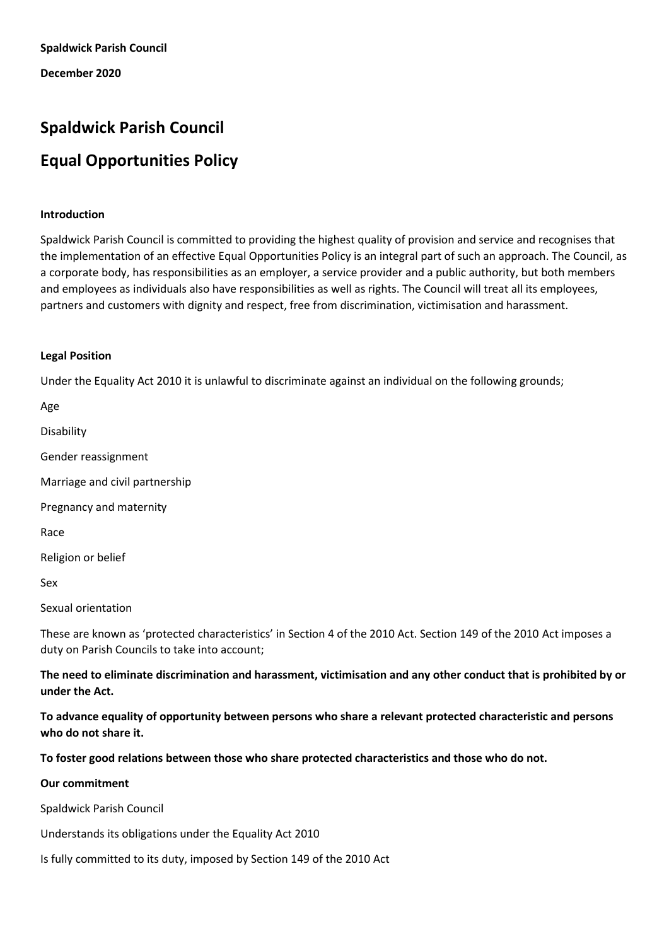**December 2020**

# **Spaldwick Parish Council Equal Opportunities Policy**

## **Introduction**

Spaldwick Parish Council is committed to providing the highest quality of provision and service and recognises that the implementation of an effective Equal Opportunities Policy is an integral part of such an approach. The Council, as a corporate body, has responsibilities as an employer, a service provider and a public authority, but both members and employees as individuals also have responsibilities as well as rights. The Council will treat all its employees, partners and customers with dignity and respect, free from discrimination, victimisation and harassment.

## **Legal Position**

Under the Equality Act 2010 it is unlawful to discriminate against an individual on the following grounds;

Age

Disability

Gender reassignment

Marriage and civil partnership

Pregnancy and maternity

Race

Religion or belief

Sex

Sexual orientation

These are known as 'protected characteristics' in Section 4 of the 2010 Act. Section 149 of the 2010 Act imposes a duty on Parish Councils to take into account;

**The need to eliminate discrimination and harassment, victimisation and any other conduct that is prohibited by or under the Act.** 

**To advance equality of opportunity between persons who share a relevant protected characteristic and persons who do not share it.** 

# **To foster good relations between those who share protected characteristics and those who do not.**

## **Our commitment**

Spaldwick Parish Council

Understands its obligations under the Equality Act 2010

Is fully committed to its duty, imposed by Section 149 of the 2010 Act